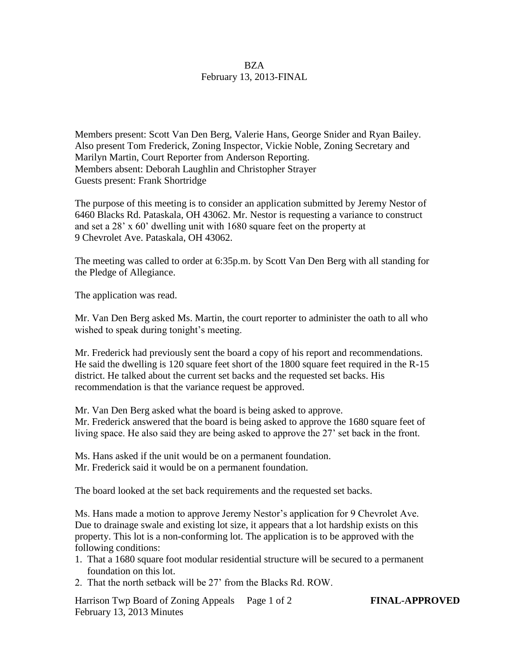## **BZA** February 13, 2013-FINAL

Members present: Scott Van Den Berg, Valerie Hans, George Snider and Ryan Bailey. Also present Tom Frederick, Zoning Inspector, Vickie Noble, Zoning Secretary and Marilyn Martin, Court Reporter from Anderson Reporting. Members absent: Deborah Laughlin and Christopher Strayer Guests present: Frank Shortridge

The purpose of this meeting is to consider an application submitted by Jeremy Nestor of 6460 Blacks Rd. Pataskala, OH 43062. Mr. Nestor is requesting a variance to construct and set a 28' x 60' dwelling unit with 1680 square feet on the property at 9 Chevrolet Ave. Pataskala, OH 43062.

The meeting was called to order at 6:35p.m. by Scott Van Den Berg with all standing for the Pledge of Allegiance.

The application was read.

Mr. Van Den Berg asked Ms. Martin, the court reporter to administer the oath to all who wished to speak during tonight's meeting.

Mr. Frederick had previously sent the board a copy of his report and recommendations. He said the dwelling is 120 square feet short of the 1800 square feet required in the R-15 district. He talked about the current set backs and the requested set backs. His recommendation is that the variance request be approved.

Mr. Van Den Berg asked what the board is being asked to approve. Mr. Frederick answered that the board is being asked to approve the 1680 square feet of living space. He also said they are being asked to approve the 27' set back in the front.

Ms. Hans asked if the unit would be on a permanent foundation. Mr. Frederick said it would be on a permanent foundation.

The board looked at the set back requirements and the requested set backs.

Ms. Hans made a motion to approve Jeremy Nestor's application for 9 Chevrolet Ave. Due to drainage swale and existing lot size, it appears that a lot hardship exists on this property. This lot is a non-conforming lot. The application is to be approved with the following conditions:

- 1. That a 1680 square foot modular residential structure will be secured to a permanent foundation on this lot.
- 2. That the north setback will be 27' from the Blacks Rd. ROW.

Harrison Twp Board of Zoning Appeals Page 1 of 2 **FINAL-APPROVED** February 13, 2013 Minutes